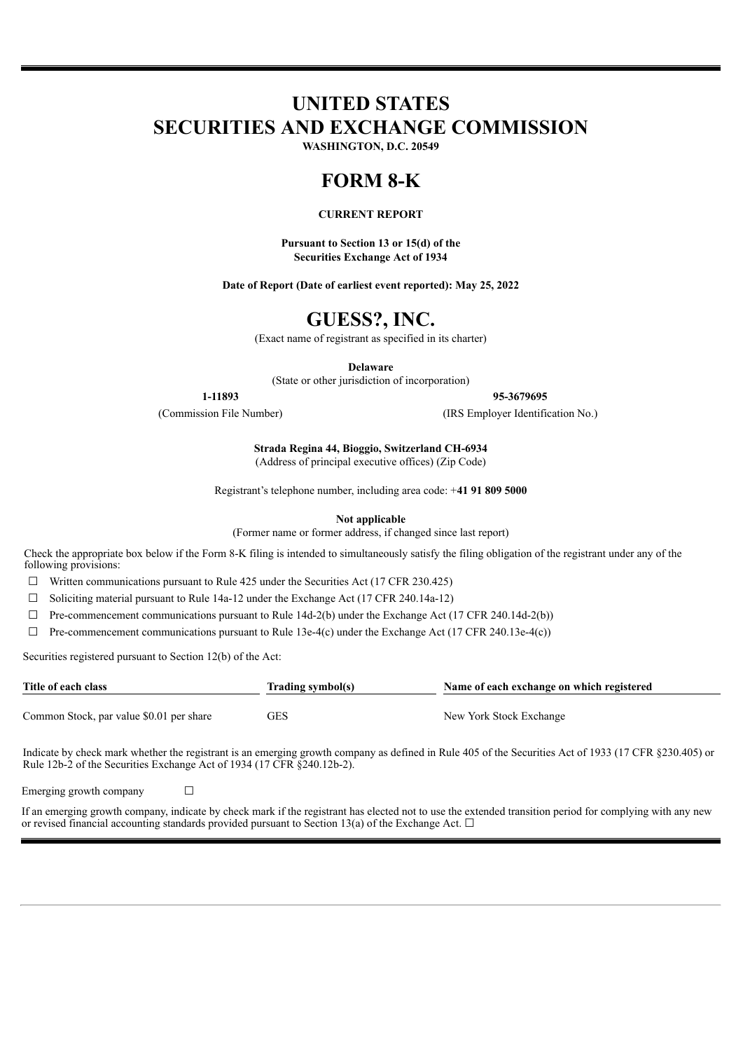# **UNITED STATES SECURITIES AND EXCHANGE COMMISSION**

**WASHINGTON, D.C. 20549**

# **FORM 8-K**

#### **CURRENT REPORT**

**Pursuant to Section 13 or 15(d) of the Securities Exchange Act of 1934**

**Date of Report (Date of earliest event reported): May 25, 2022**

# **GUESS?, INC.**

(Exact name of registrant as specified in its charter)

**Delaware**

(State or other jurisdiction of incorporation)

**1-11893 95-3679695**

(Commission File Number) (IRS Employer Identification No.)

**Strada Regina 44, Bioggio, Switzerland CH-6934** (Address of principal executive offices) (Zip Code)

Registrant's telephone number, including area code: +**41 91 809 5000**

**Not applicable**

(Former name or former address, if changed since last report)

Check the appropriate box below if the Form 8-K filing is intended to simultaneously satisfy the filing obligation of the registrant under any of the following provisions:

 $\Box$  Written communications pursuant to Rule 425 under the Securities Act (17 CFR 230.425)

☐ Soliciting material pursuant to Rule 14a-12 under the Exchange Act (17 CFR 240.14a-12)

 $\Box$  Pre-commencement communications pursuant to Rule 14d-2(b) under the Exchange Act (17 CFR 240.14d-2(b))

 $\Box$  Pre-commencement communications pursuant to Rule 13e-4(c) under the Exchange Act (17 CFR 240.13e-4(c))

Securities registered pursuant to Section 12(b) of the Act:

| Title of each class                      | Trading symbol(s) | Name of each exchange on which registered |  |  |  |  |
|------------------------------------------|-------------------|-------------------------------------------|--|--|--|--|
| Common Stock, par value \$0.01 per share | GES               | New York Stock Exchange                   |  |  |  |  |

Indicate by check mark whether the registrant is an emerging growth company as defined in Rule 405 of the Securities Act of 1933 (17 CFR §230.405) or Rule 12b-2 of the Securities Exchange Act of 1934 (17 CFR §240.12b-2).

Emerging growth company  $\Box$ 

If an emerging growth company, indicate by check mark if the registrant has elected not to use the extended transition period for complying with any new or revised financial accounting standards provided pursuant to Section 13(a) of the Exchange Act.  $\Box$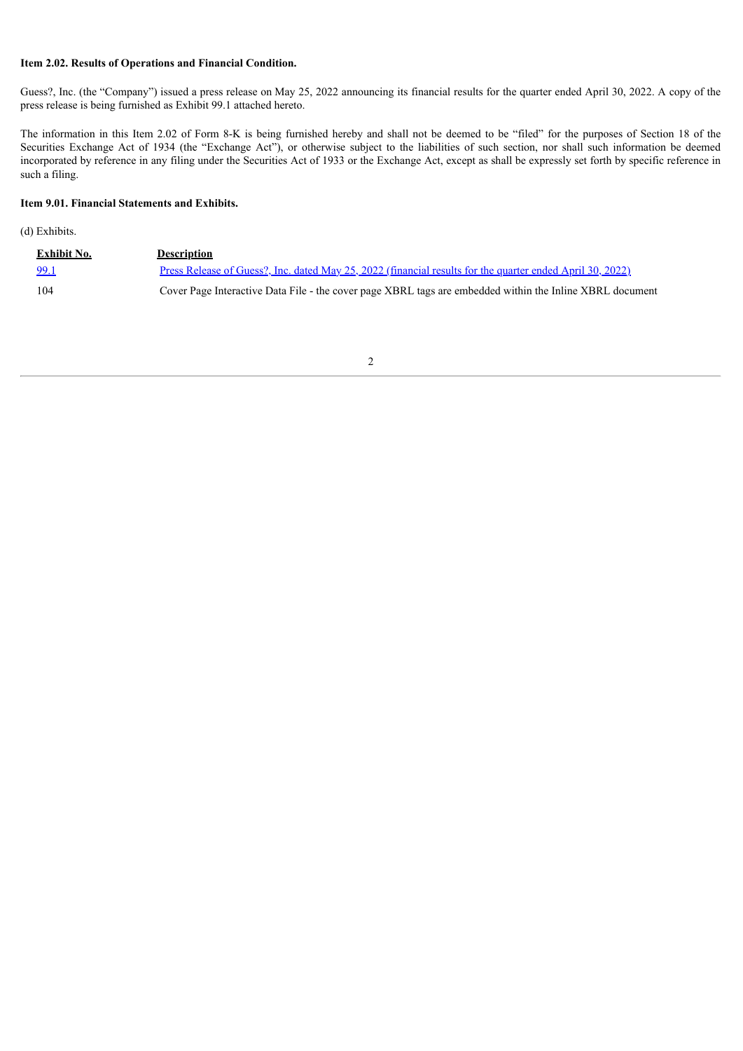#### **Item 2.02. Results of Operations and Financial Condition.**

Guess?, Inc. (the "Company") issued a press release on May 25, 2022 announcing its financial results for the quarter ended April 30, 2022. A copy of the press release is being furnished as Exhibit 99.1 attached hereto.

The information in this Item 2.02 of Form 8-K is being furnished hereby and shall not be deemed to be "filed" for the purposes of Section 18 of the Securities Exchange Act of 1934 (the "Exchange Act"), or otherwise subject to the liabilities of such section, nor shall such information be deemed incorporated by reference in any filing under the Securities Act of 1933 or the Exchange Act, except as shall be expressly set forth by specific reference in such a filing.

#### **Item 9.01. Financial Statements and Exhibits.**

(d) Exhibits.

| Exhibit No. | <b>Description</b>                                                                                        |
|-------------|-----------------------------------------------------------------------------------------------------------|
| 99.1        | Press Release of Guess?, Inc. dated May 25, 2022 (financial results for the quarter ended April 30, 2022) |
| 104         | Cover Page Interactive Data File - the cover page XBRL tags are embedded within the Inline XBRL document  |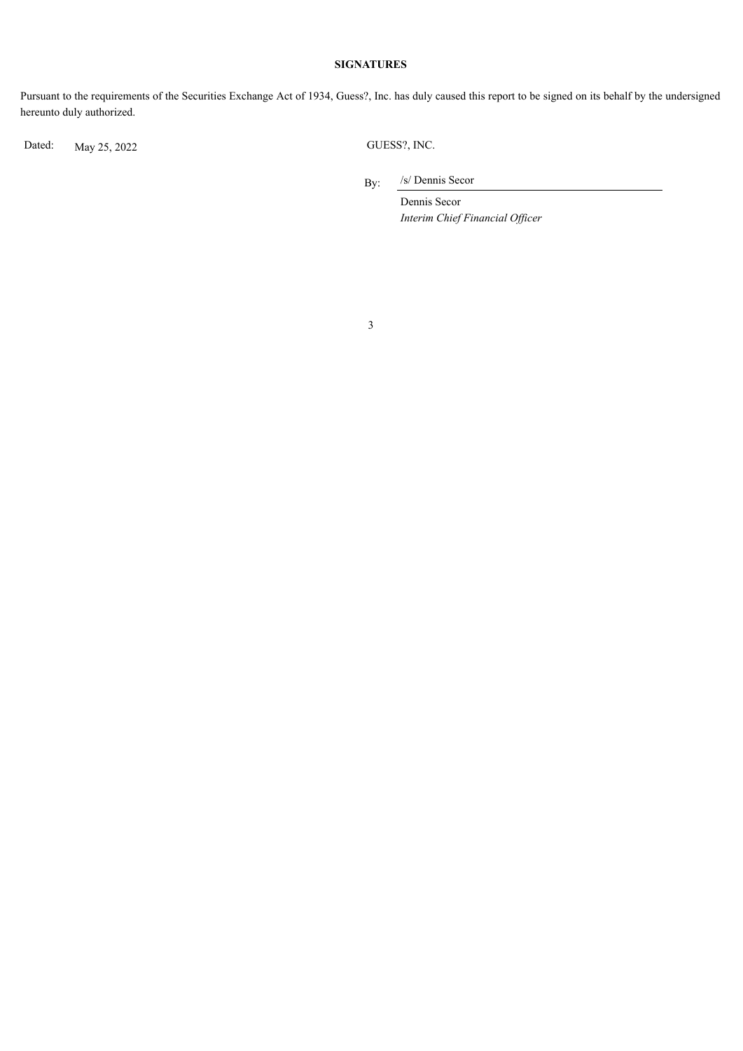#### **SIGNATURES**

Pursuant to the requirements of the Securities Exchange Act of 1934, Guess?, Inc. has duly caused this report to be signed on its behalf by the undersigned hereunto duly authorized.

Dated: May 25, 2022 GUESS?, INC.

By: /s/ Dennis Secor

> Dennis Secor *Interim Chief Financial Of icer*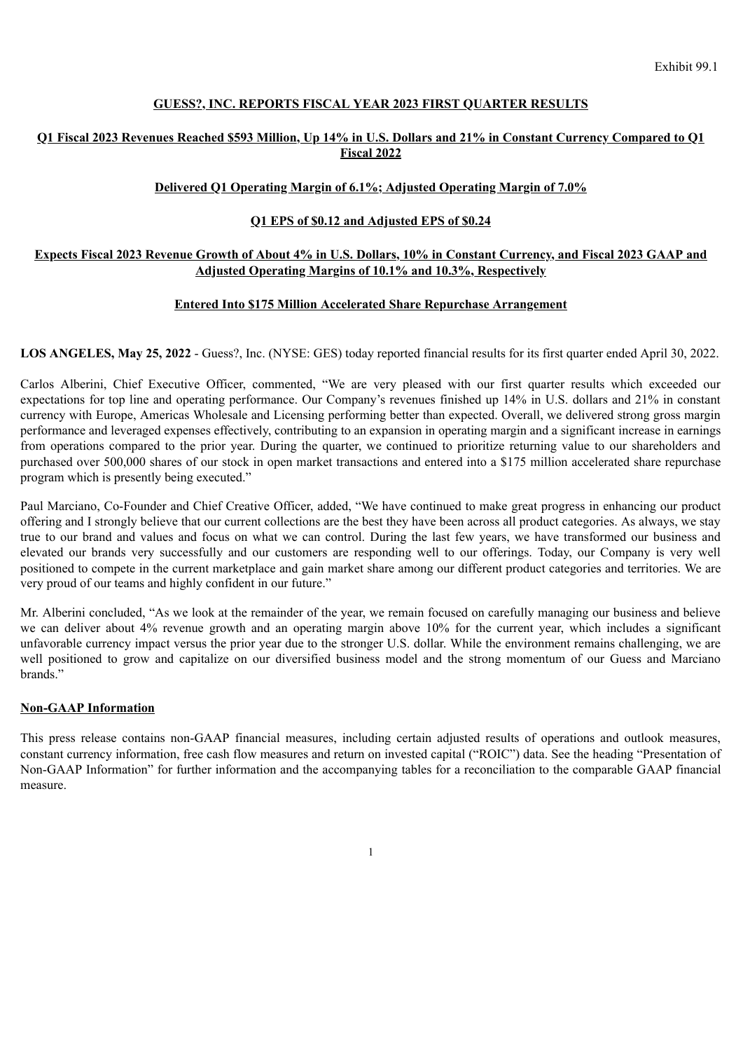#### **GUESS?, INC. REPORTS FISCAL YEAR 2023 FIRST QUARTER RESULTS**

#### <span id="page-3-0"></span>Q1 Fiscal 2023 Revenues Reached \$593 Million, Up 14% in U.S. Dollars and 21% in Constant Currency Compared to Q1 **Fiscal 2022**

### **Delivered Q1 Operating Margin of 6.1%; Adjusted Operating Margin of 7.0%**

### **Q1 EPS of \$0.12 and Adjusted EPS of \$0.24**

### Expects Fiscal 2023 Revenue Growth of About 4% in U.S. Dollars, 10% in Constant Currency, and Fiscal 2023 GAAP and **Adjusted Operating Margins of 10.1% and 10.3%, Respectively**

#### **Entered Into \$175 Million Accelerated Share Repurchase Arrangement**

**LOS ANGELES, May 25, 2022** - Guess?, Inc. (NYSE: GES) today reported financial results for its first quarter ended April 30, 2022.

Carlos Alberini, Chief Executive Officer, commented, "We are very pleased with our first quarter results which exceeded our expectations for top line and operating performance. Our Company's revenues finished up 14% in U.S. dollars and 21% in constant currency with Europe, Americas Wholesale and Licensing performing better than expected. Overall, we delivered strong gross margin performance and leveraged expenses effectively, contributing to an expansion in operating margin and a significant increase in earnings from operations compared to the prior year. During the quarter, we continued to prioritize returning value to our shareholders and purchased over 500,000 shares of our stock in open market transactions and entered into a \$175 million accelerated share repurchase program which is presently being executed."

Paul Marciano, Co-Founder and Chief Creative Officer, added, "We have continued to make great progress in enhancing our product offering and I strongly believe that our current collections are the best they have been across all product categories. As always, we stay true to our brand and values and focus on what we can control. During the last few years, we have transformed our business and elevated our brands very successfully and our customers are responding well to our offerings. Today, our Company is very well positioned to compete in the current marketplace and gain market share among our different product categories and territories. We are very proud of our teams and highly confident in our future."

Mr. Alberini concluded, "As we look at the remainder of the year, we remain focused on carefully managing our business and believe we can deliver about 4% revenue growth and an operating margin above 10% for the current year, which includes a significant unfavorable currency impact versus the prior year due to the stronger U.S. dollar. While the environment remains challenging, we are well positioned to grow and capitalize on our diversified business model and the strong momentum of our Guess and Marciano brands."

#### **Non-GAAP Information**

This press release contains non-GAAP financial measures, including certain adjusted results of operations and outlook measures, constant currency information, free cash flow measures and return on invested capital ("ROIC") data. See the heading "Presentation of Non-GAAP Information" for further information and the accompanying tables for a reconciliation to the comparable GAAP financial measure.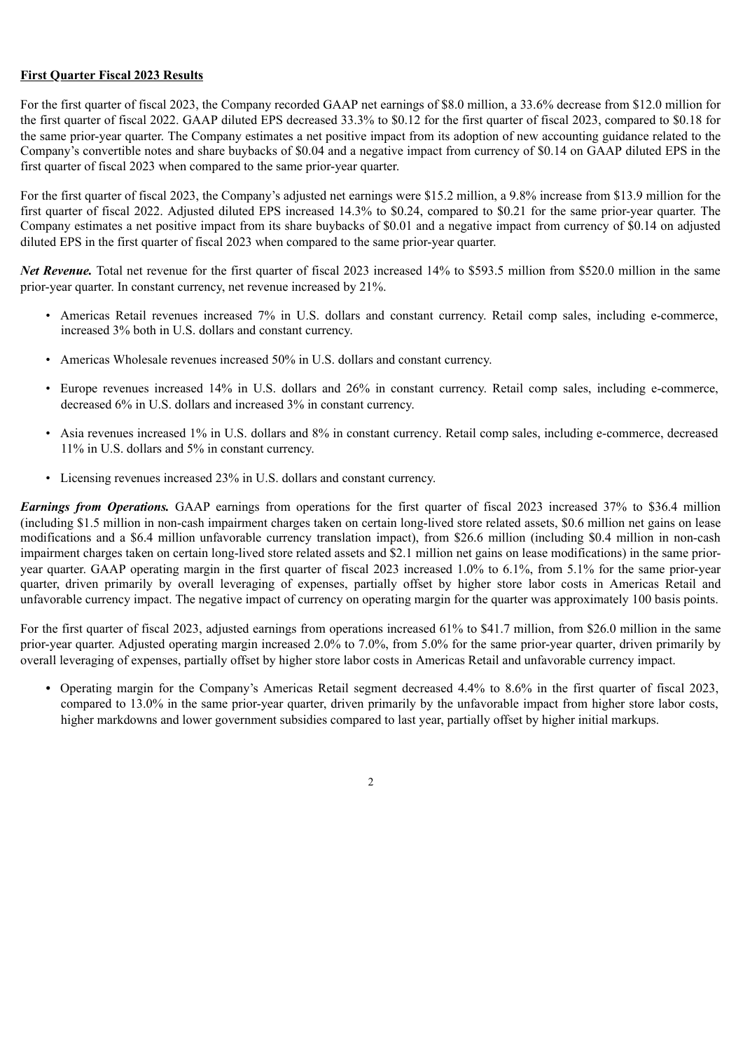### **First Quarter Fiscal 2023 Results**

For the first quarter of fiscal 2023, the Company recorded GAAP net earnings of \$8.0 million, a 33.6% decrease from \$12.0 million for the first quarter of fiscal 2022. GAAP diluted EPS decreased 33.3% to \$0.12 for the first quarter of fiscal 2023, compared to \$0.18 for the same prior-year quarter. The Company estimates a net positive impact from its adoption of new accounting guidance related to the Company's convertible notes and share buybacks of \$0.04 and a negative impact from currency of \$0.14 on GAAP diluted EPS in the first quarter of fiscal 2023 when compared to the same prior-year quarter.

For the first quarter of fiscal 2023, the Company's adjusted net earnings were \$15.2 million, a 9.8% increase from \$13.9 million for the first quarter of fiscal 2022. Adjusted diluted EPS increased 14.3% to \$0.24, compared to \$0.21 for the same prior-year quarter. The Company estimates a net positive impact from its share buybacks of \$0.01 and a negative impact from currency of \$0.14 on adjusted diluted EPS in the first quarter of fiscal 2023 when compared to the same prior-year quarter.

*Net Revenue.* Total net revenue for the first quarter of fiscal 2023 increased 14% to \$593.5 million from \$520.0 million in the same prior-year quarter. In constant currency, net revenue increased by 21%.

- Americas Retail revenues increased 7% in U.S. dollars and constant currency. Retail comp sales, including e-commerce, increased 3% both in U.S. dollars and constant currency.
- Americas Wholesale revenues increased 50% in U.S. dollars and constant currency.
- Europe revenues increased 14% in U.S. dollars and 26% in constant currency. Retail comp sales, including e-commerce, decreased 6% in U.S. dollars and increased 3% in constant currency.
- Asia revenues increased 1% in U.S. dollars and 8% in constant currency. Retail comp sales, including e-commerce, decreased 11% in U.S. dollars and 5% in constant currency.
- Licensing revenues increased 23% in U.S. dollars and constant currency.

*Earnings from Operations.* GAAP earnings from operations for the first quarter of fiscal 2023 increased 37% to \$36.4 million (including \$1.5 million in non-cash impairment charges taken on certain long-lived store related assets, \$0.6 million net gains on lease modifications and a \$6.4 million unfavorable currency translation impact), from \$26.6 million (including \$0.4 million in non-cash impairment charges taken on certain long-lived store related assets and \$2.1 million net gains on lease modifications) in the same prioryear quarter. GAAP operating margin in the first quarter of fiscal 2023 increased 1.0% to 6.1%, from 5.1% for the same prior-year quarter, driven primarily by overall leveraging of expenses, partially offset by higher store labor costs in Americas Retail and unfavorable currency impact. The negative impact of currency on operating margin for the quarter was approximately 100 basis points.

For the first quarter of fiscal 2023, adjusted earnings from operations increased 61% to \$41.7 million, from \$26.0 million in the same prior-year quarter. Adjusted operating margin increased 2.0% to 7.0%, from 5.0% for the same prior-year quarter, driven primarily by overall leveraging of expenses, partially offset by higher store labor costs in Americas Retail and unfavorable currency impact.

*•* Operating margin for the Company's Americas Retail segment decreased 4.4% to 8.6% in the first quarter of fiscal 2023, compared to 13.0% in the same prior-year quarter, driven primarily by the unfavorable impact from higher store labor costs, higher markdowns and lower government subsidies compared to last year, partially offset by higher initial markups.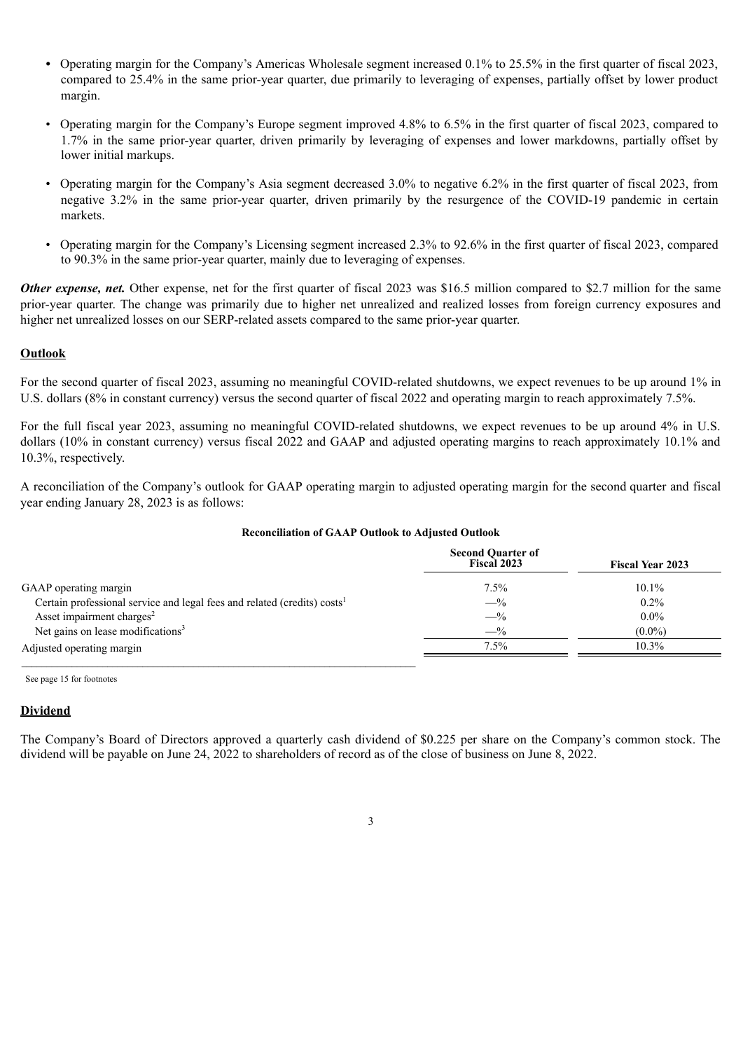- Operating margin for the Company's Americas Wholesale segment increased 0.1% to 25.5% in the first quarter of fiscal 2023, compared to 25.4% in the same prior-year quarter, due primarily to leveraging of expenses, partially offset by lower product margin.
- Operating margin for the Company's Europe segment improved 4.8% to 6.5% in the first quarter of fiscal 2023, compared to 1.7% in the same prior-year quarter, driven primarily by leveraging of expenses and lower markdowns, partially offset by lower initial markups.
- Operating margin for the Company's Asia segment decreased 3.0% to negative 6.2% in the first quarter of fiscal 2023, from negative 3.2% in the same prior-year quarter, driven primarily by the resurgence of the COVID-19 pandemic in certain markets.
- Operating margin for the Company's Licensing segment increased 2.3% to 92.6% in the first quarter of fiscal 2023, compared to 90.3% in the same prior-year quarter, mainly due to leveraging of expenses.

*Other expense, net.* Other expense, net for the first quarter of fiscal 2023 was \$16.5 million compared to \$2.7 million for the same prior-year quarter. The change was primarily due to higher net unrealized and realized losses from foreign currency exposures and higher net unrealized losses on our SERP-related assets compared to the same prior-year quarter.

#### **Outlook**

For the second quarter of fiscal 2023, assuming no meaningful COVID-related shutdowns, we expect revenues to be up around 1% in U.S. dollars (8% in constant currency) versus the second quarter of fiscal 2022 and operating margin to reach approximately 7.5%.

For the full fiscal year 2023, assuming no meaningful COVID-related shutdowns, we expect revenues to be up around 4% in U.S. dollars (10% in constant currency) versus fiscal 2022 and GAAP and adjusted operating margins to reach approximately 10.1% and 10.3%, respectively.

A reconciliation of the Company's outlook for GAAP operating margin to adjusted operating margin for the second quarter and fiscal year ending January 28, 2023 is as follows:

#### **Reconciliation of GAAP Outlook to Adjusted Outlook**

|                                                                                      | <b>Second Quarter of</b><br>Fiscal 2023 | <b>Fiscal Year 2023</b> |
|--------------------------------------------------------------------------------------|-----------------------------------------|-------------------------|
| GAAP operating margin                                                                | 7.5%                                    | $10.1\%$                |
| Certain professional service and legal fees and related (credits) costs <sup>1</sup> | $-$ %                                   | $0.2\%$                 |
| Asset impairment charges <sup>2</sup>                                                | $-$ %                                   | $0.0\%$                 |
| Net gains on lease modifications <sup>3</sup>                                        | $-$ %                                   | $(0.0\%)$               |
| Adjusted operating margin                                                            | $7.5\%$                                 | 10.3%                   |

See page 15 for footnotes

#### **Dividend**

The Company's Board of Directors approved a quarterly cash dividend of \$0.225 per share on the Company's common stock. The dividend will be payable on June 24, 2022 to shareholders of record as of the close of business on June 8, 2022.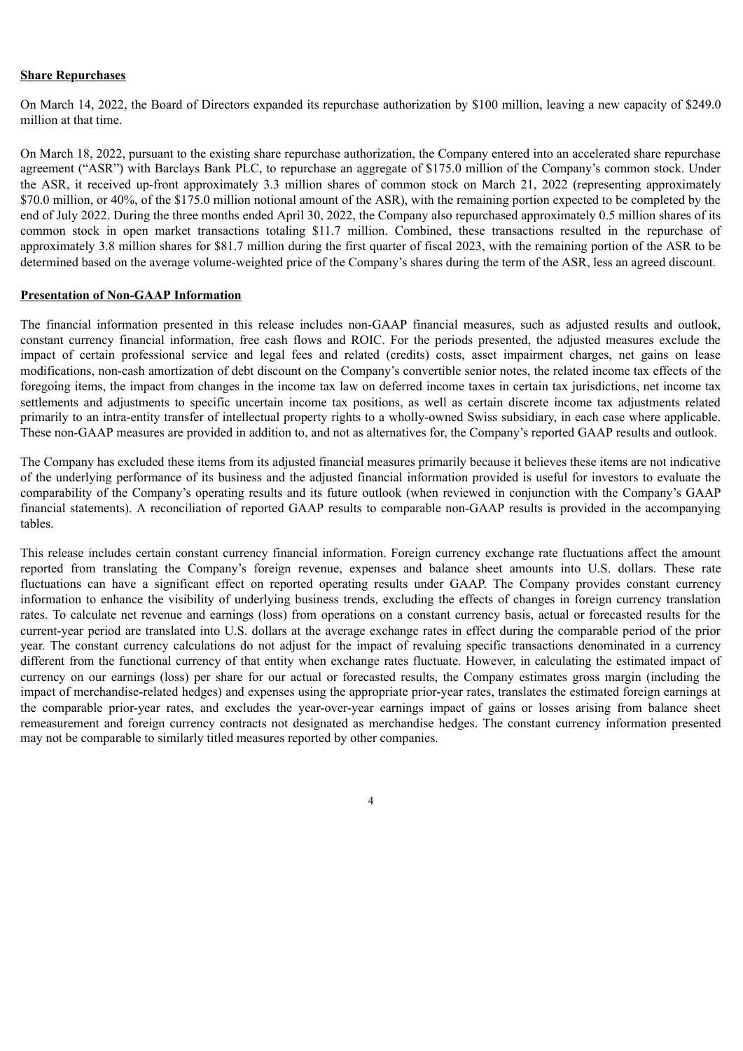#### **Share Repurchases**

On March 14, 2022, the Board of Directors expanded its repurchase authorization by \$100 million, leaving a new capacity of \$249.0 million at that time.

On March 18, 2022, pursuant to the existing share repurchase authorization, the Company entered into an accelerated share repurchase agreement ("ASR") with Barclays Bank PLC, to repurchase an aggregate of \$175.0 million of the Company's common stock. Under the ASR, it received up-front approximately 3.3 million shares of common stock on March 21, 2022 (representing approximately \$70.0 million, or 40%, of the \$175.0 million notional amount of the ASR), with the remaining portion expected to be completed by the end of July 2022. During the three months ended April 30, 2022, the Company also repurchased approximately 0.5 million shares of its common stock in open market transactions totaling \$11.7 million. Combined, these transactions resulted in the repurchase of approximately 3.8 million shares for \$81.7 million during the first quarter of fiscal 2023, with the remaining portion of the ASR to be determined based on the average volume-weighted price of the Company's shares during the term of the ASR, less an agreed discount.

#### **Presentation of Non-GAAP Information**

The financial information presented in this release includes non-GAAP financial measures, such as adjusted results and outlook, constant currency financial information, free cash flows and ROIC. For the periods presented, the adjusted measures exclude the impact of certain professional service and legal fees and related (credits) costs, asset impairment charges, net gains on lease modifications, non-cash amortization of debt discount on the Company's convertible senior notes, the related income tax effects of the foregoing items, the impact from changes in the income tax law on deferred income taxes in certain tax jurisdictions, net income tax settlements and adjustments to specific uncertain income tax positions, as well as certain discrete income tax adjustments related primarily to an intra-entity transfer of intellectual property rights to a wholly-owned Swiss subsidiary, in each case where applicable. These non-GAAP measures are provided in addition to, and not as alternatives for, the Company's reported GAAP results and outlook.

The Company has excluded these items from its adjusted financial measures primarily because it believes these items are not indicative of the underlying performance of its business and the adjusted financial information provided is useful for investors to evaluate the comparability of the Company's operating results and its future outlook (when reviewed in conjunction with the Company's GAAP financial statements). A reconciliation of reported GAAP results to comparable non-GAAP results is provided in the accompanying tables.

This release includes certain constant currency financial information. Foreign currency exchange rate fluctuations affect the amount reported from translating the Company's foreign revenue, expenses and balance sheet amounts into U.S. dollars. These rate fluctuations can have a significant effect on reported operating results under GAAP. The Company provides constant currency information to enhance the visibility of underlying business trends, excluding the effects of changes in foreign currency translation rates. To calculate net revenue and earnings (loss) from operations on a constant currency basis, actual or forecasted results for the current-year period are translated into U.S. dollars at the average exchange rates in effect during the comparable period of the prior year. The constant currency calculations do not adjust for the impact of revaluing specific transactions denominated in a currency different from the functional currency of that entity when exchange rates fluctuate. However, in calculating the estimated impact of currency on our earnings (loss) per share for our actual or forecasted results, the Company estimates gross margin (including the impact of merchandise-related hedges) and expenses using the appropriate prior-year rates, translates the estimated foreign earnings at the comparable prior-year rates, and excludes the year-over-year earnings impact of gains or losses arising from balance sheet remeasurement and foreign currency contracts not designated as merchandise hedges. The constant currency information presented may not be comparable to similarly titled measures reported by other companies.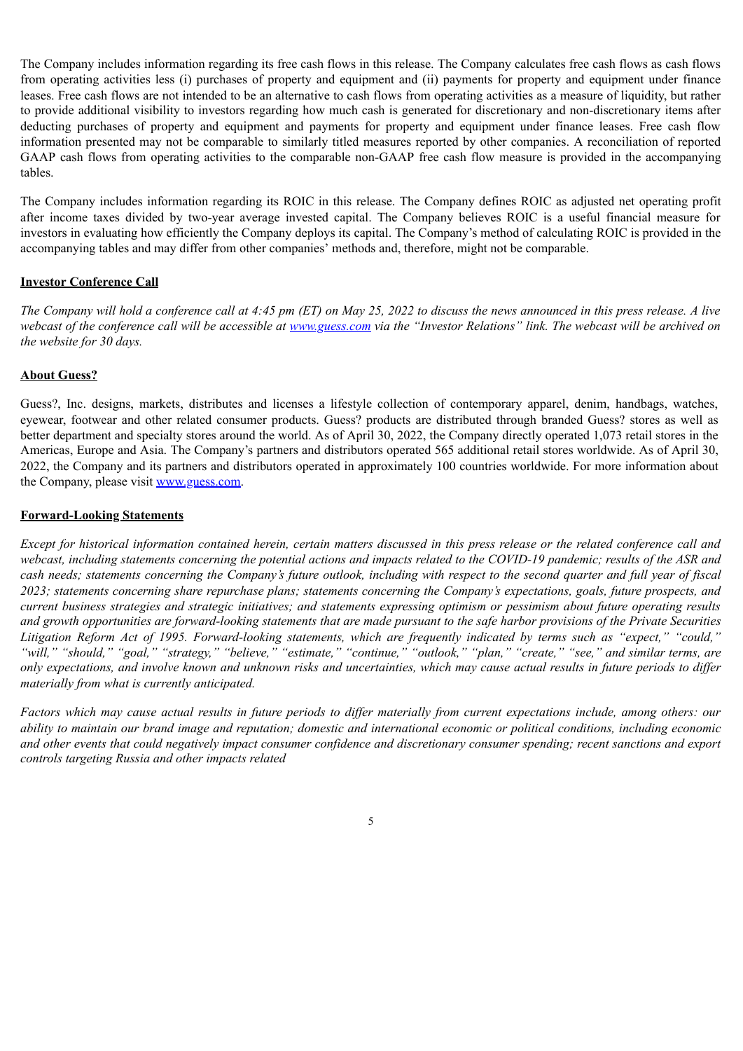The Company includes information regarding its free cash flows in this release. The Company calculates free cash flows as cash flows from operating activities less (i) purchases of property and equipment and (ii) payments for property and equipment under finance leases. Free cash flows are not intended to be an alternative to cash flows from operating activities as a measure of liquidity, but rather to provide additional visibility to investors regarding how much cash is generated for discretionary and non-discretionary items after deducting purchases of property and equipment and payments for property and equipment under finance leases. Free cash flow information presented may not be comparable to similarly titled measures reported by other companies. A reconciliation of reported GAAP cash flows from operating activities to the comparable non-GAAP free cash flow measure is provided in the accompanying tables.

The Company includes information regarding its ROIC in this release. The Company defines ROIC as adjusted net operating profit after income taxes divided by two-year average invested capital. The Company believes ROIC is a useful financial measure for investors in evaluating how efficiently the Company deploys its capital. The Company's method of calculating ROIC is provided in the accompanying tables and may differ from other companies' methods and, therefore, might not be comparable.

#### **Investor Conference Call**

The Company will hold a conference call at 4:45 pm (ET) on May 25, 2022 to discuss the news announced in this press release. A live webcast of the conference call will be accessible at www.guess.com via the "Investor Relations" link. The webcast will be archived on *the website for 30 days.*

#### **About Guess?**

Guess?, Inc. designs, markets, distributes and licenses a lifestyle collection of contemporary apparel, denim, handbags, watches, eyewear, footwear and other related consumer products. Guess? products are distributed through branded Guess? stores as well as better department and specialty stores around the world. As of April 30, 2022, the Company directly operated 1,073 retail stores in the Americas, Europe and Asia. The Company's partners and distributors operated 565 additional retail stores worldwide. As of April 30, 2022, the Company and its partners and distributors operated in approximately 100 countries worldwide. For more information about the Company, please visit www.guess.com.

#### **Forward-Looking Statements**

Except for historical information contained herein, certain matters discussed in this press release or the related conference call and webcast, including statements concerning the potential actions and impacts related to the COVID-19 pandemic; results of the ASR and cash needs; statements concerning the Company's future outlook, including with respect to the second quarter and full year of fiscal 2023; statements concerning share repurchase plans; statements concerning the Company's expectations, goals, future prospects, and current business strategies and strategic initiatives; and statements expressing optimism or pessimism about future operating results and growth opportunities are forward-looking statements that are made pursuant to the safe harbor provisions of the Private Securities Litigation Reform Act of 1995. Forward-looking statements, which are frequently indicated by terms such as "expect," "could," "will," "should," "goal," "strategy," "believe," "estimate," "continue," "outlook," "plan," "create," "see," and similar terms, are only expectations, and involve known and unknown risks and uncertainties, which may cause actual results in future periods to differ *materially from what is currently anticipated.*

Factors which may cause actual results in future periods to differ materially from current expectations include, among others: our ability to maintain our brand image and reputation; domestic and international economic or political conditions, including economic and other events that could negatively impact consumer confidence and discretionary consumer spending; recent sanctions and export *controls targeting Russia and other impacts related*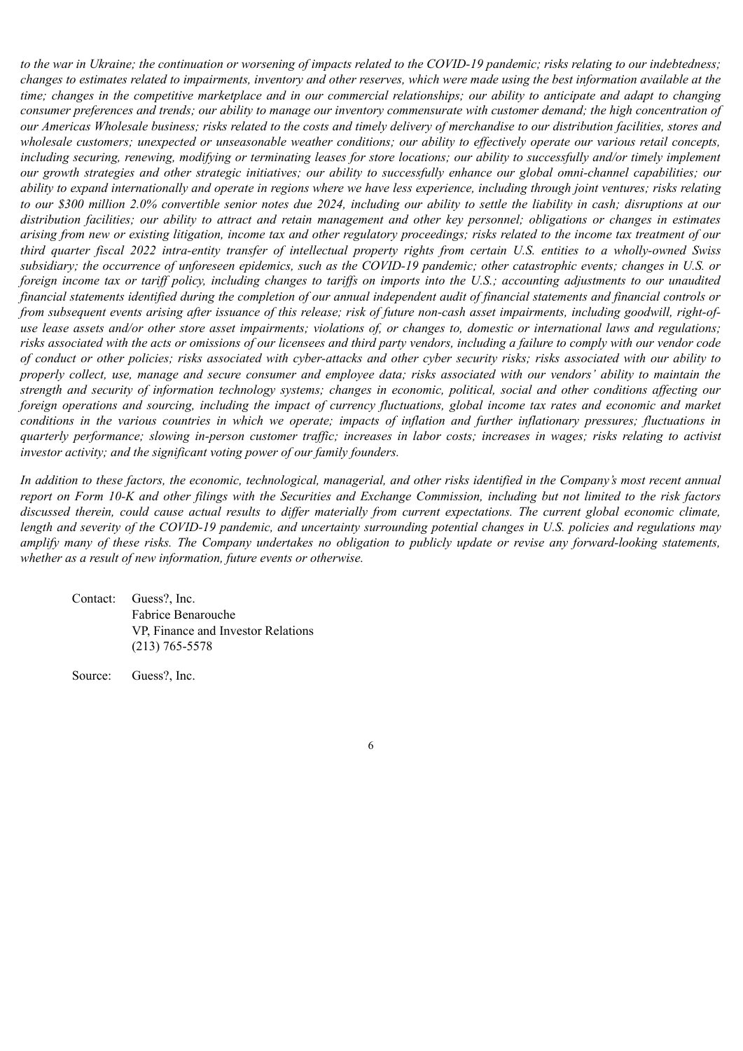to the war in Ukraine; the continuation or worsening of impacts related to the COVID-19 pandemic; risks relating to our indebtedness; changes to estimates related to impairments, inventory and other reserves, which were made using the best information available at the time; changes in the competitive marketplace and in our commercial relationships; our ability to anticipate and adapt to changing consumer preferences and trends; our ability to manage our inventory commensurate with customer demand; the high concentration of our Americas Wholesale business; risks related to the costs and timely delivery of merchandise to our distribution facilities, stores and wholesale customers; unexpected or unseasonable weather conditions; our ability to effectively operate our various retail concepts, including securing, renewing, modifying or terminating leases for store locations; our ability to successfully and/or timely implement our growth strategies and other strategic initiatives; our ability to successfully enhance our global omni-channel capabilities; our ability to expand internationally and operate in regions where we have less experience, including through joint ventures; risks relating to our \$300 million 2.0% convertible senior notes due 2024, including our ability to settle the liability in cash; disruptions at our distribution facilities; our ability to attract and retain management and other key personnel; obligations or changes in estimates arising from new or existing litigation, income tax and other regulatory proceedings; risks related to the income tax treatment of our third quarter fiscal 2022 intra-entity transfer of intellectual property rights from certain U.S. entities to a wholly-owned Swiss subsidiary; the occurrence of unforeseen epidemics, such as the COVID-19 pandemic; other catastrophic events; changes in U.S. or foreign income tax or tariff policy, including changes to tariffs on imports into the U.S.; accounting adjustments to our unaudited financial statements identified during the completion of our annual independent audit of financial statements and financial controls or from subsequent events arising after issuance of this release; risk of future non-cash asset impairments, including goodwill, right-ofuse lease assets and/or other store asset impairments; violations of, or changes to, domestic or international laws and regulations; risks associated with the acts or omissions of our licensees and third party vendors, including a failure to comply with our vendor code of conduct or other policies; risks associated with cyber-attacks and other cyber security risks; risks associated with our ability to properly collect, use, manage and secure consumer and employee data; risks associated with our vendors' ability to maintain the strength and security of information technology systems; changes in economic, political, social and other conditions affecting our foreign operations and sourcing, including the impact of currency fluctuations, global income tax rates and economic and market conditions in the various countries in which we operate; impacts of inflation and further inflationary pressures; fluctuations in quarterly performance; slowing in-person customer traffic; increases in labor costs; increases in wages; risks relating to activist *investor activity; and the significant voting power of our family founders.*

In addition to these factors, the economic, technological, managerial, and other risks identified in the Company's most recent annual report on Form 10-K and other filings with the Securities and Exchange Commission, including but not limited to the risk factors discussed therein, could cause actual results to differ materially from current expectations. The current global economic climate, length and severity of the COVID-19 pandemic, and uncertainty surrounding potential changes in U.S. policies and regulations may amplify many of these risks. The Company undertakes no obligation to publicly update or revise any forward-looking statements, *whether as a result of new information, future events or otherwise.*

Contact: Guess?, Inc. Fabrice Benarouche VP, Finance and Investor Relations (213) 765-5578

Source: Guess?, Inc.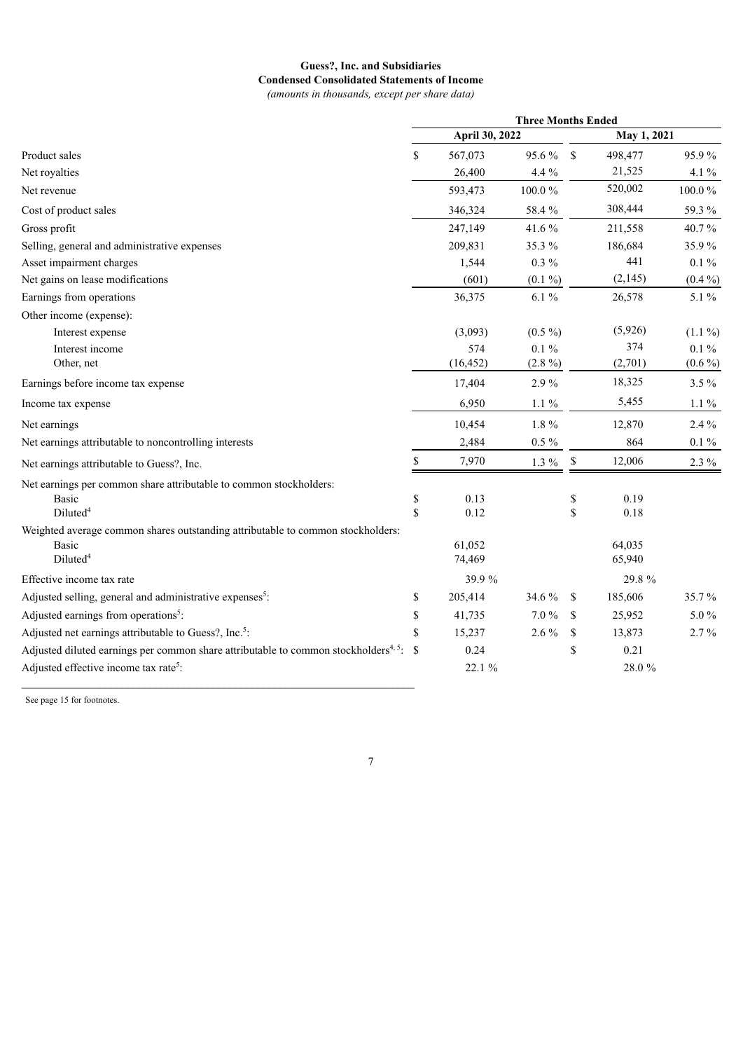#### **Guess?, Inc. and Subsidiaries Condensed Consolidated Statements of Income** *(amounts in thousands, except per share data)*

|                                                                                                      | <b>Three Months Ended</b> |                  |           |             |                  |           |
|------------------------------------------------------------------------------------------------------|---------------------------|------------------|-----------|-------------|------------------|-----------|
|                                                                                                      |                           | April 30, 2022   |           |             | May 1, 2021      |           |
| Product sales                                                                                        | \$                        | 567,073          | 95.6%     | $\mathbf S$ | 498,477          | 95.9%     |
| Net royalties                                                                                        |                           | 26,400           | $4.4\,\%$ |             | 21,525           | $4.1\%$   |
| Net revenue                                                                                          |                           | 593,473          | 100.0%    |             | 520,002          | 100.0%    |
| Cost of product sales                                                                                |                           | 346,324          | 58.4 %    |             | 308,444          | 59.3%     |
| Gross profit                                                                                         |                           | 247,149          | 41.6%     |             | 211,558          | 40.7%     |
| Selling, general and administrative expenses                                                         |                           | 209,831          | 35.3%     |             | 186,684          | 35.9%     |
| Asset impairment charges                                                                             |                           | 1,544            | $0.3\%$   |             | 441              | $0.1 \%$  |
| Net gains on lease modifications                                                                     |                           | (601)            | $(0.1\%)$ |             | (2, 145)         | $(0.4\%)$ |
| Earnings from operations                                                                             |                           | 36,375           | $6.1\%$   |             | 26,578           | 5.1%      |
| Other income (expense):                                                                              |                           |                  |           |             |                  |           |
| Interest expense                                                                                     |                           | (3,093)          | $(0.5\%)$ |             | (5,926)          | $(1.1\%)$ |
| Interest income                                                                                      |                           | 574              | $0.1\%$   |             | 374              | $0.1 \%$  |
| Other, net                                                                                           |                           | (16, 452)        | $(2.8\%)$ |             | (2,701)          | $(0.6\%)$ |
| Earnings before income tax expense                                                                   |                           | 17,404           | 2.9%      |             | 18,325           | $3.5\%$   |
| Income tax expense                                                                                   |                           | 6,950            | $1.1\%$   |             | 5,455            | $1.1\%$   |
| Net earnings                                                                                         |                           | 10,454           | 1.8%      |             | 12,870           | 2.4 %     |
| Net earnings attributable to noncontrolling interests                                                |                           | 2,484            | $0.5\,\%$ |             | 864              | $0.1\,\%$ |
| Net earnings attributable to Guess?, Inc.                                                            | \$                        | 7,970            | $1.3~\%$  | \$          | 12,006           | 2.3 %     |
| Net earnings per common share attributable to common stockholders:                                   |                           |                  |           |             |                  |           |
| <b>Basic</b>                                                                                         | \$                        | 0.13             |           | \$          | 0.19             |           |
| Diluted <sup>4</sup>                                                                                 | \$                        | 0.12             |           | \$          | 0.18             |           |
| Weighted average common shares outstanding attributable to common stockholders:                      |                           |                  |           |             |                  |           |
| <b>Basic</b><br>Diluted <sup>4</sup>                                                                 |                           | 61,052<br>74,469 |           |             | 64,035<br>65,940 |           |
| Effective income tax rate                                                                            |                           | 39.9%            |           |             | 29.8 %           |           |
| Adjusted selling, general and administrative expenses <sup>5</sup> :                                 |                           | 205,414          | 34.6 %    | \$          | 185,606          | 35.7%     |
| Adjusted earnings from operations <sup>5</sup> :                                                     | \$                        |                  | $7.0\,\%$ | $\mathbf S$ |                  | 5.0%      |
|                                                                                                      | \$                        | 41,735           |           |             | 25,952           |           |
| Adjusted net earnings attributable to Guess?, Inc. <sup>5</sup> :                                    | \$                        | 15,237           | 2.6%      | \$          | 13,873           | $2.7\%$   |
| Adjusted diluted earnings per common share attributable to common stockholders <sup>4, 5</sup> : $\$ |                           | 0.24             |           | \$          | 0.21             |           |
| Adjusted effective income tax rate <sup>5</sup> :                                                    |                           | 22.1 %           |           |             | 28.0%            |           |
|                                                                                                      |                           |                  |           |             |                  |           |

See page 15 for footnotes.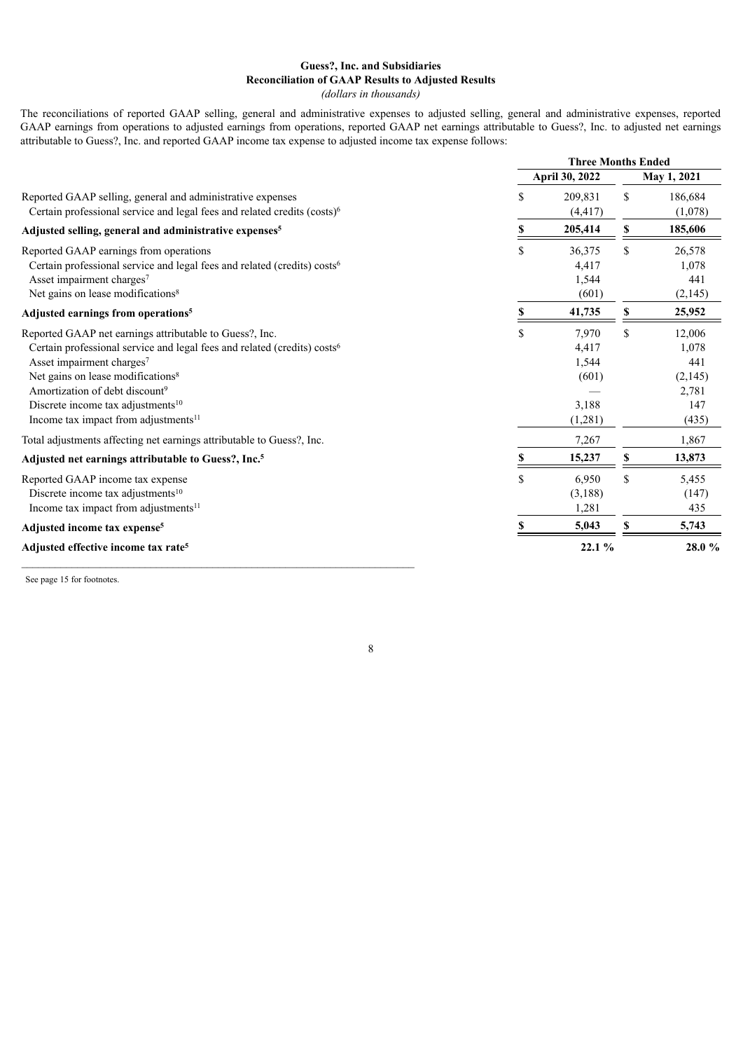### **Guess?, Inc. and Subsidiaries Reconciliation of GAAP Results to Adjusted Results**

*(dollars in thousands)*

The reconciliations of reported GAAP selling, general and administrative expenses to adjusted selling, general and administrative expenses, reported GAAP earnings from operations to adjusted earnings from operations, reported GAAP net earnings attributable to Guess?, Inc. to adjusted net earnings attributable to Guess?, Inc. and reported GAAP income tax expense to adjusted income tax expense follows:

|                                                                                                                                                                                                                                                                                                                                                                                              | <b>Three Months Ended</b> |                                                      |          |                                                            |
|----------------------------------------------------------------------------------------------------------------------------------------------------------------------------------------------------------------------------------------------------------------------------------------------------------------------------------------------------------------------------------------------|---------------------------|------------------------------------------------------|----------|------------------------------------------------------------|
|                                                                                                                                                                                                                                                                                                                                                                                              |                           | April 30, 2022                                       |          | May 1, 2021                                                |
| Reported GAAP selling, general and administrative expenses<br>Certain professional service and legal fees and related credits (costs) <sup>6</sup>                                                                                                                                                                                                                                           | \$                        | 209,831<br>(4, 417)                                  | \$       | 186,684<br>(1,078)                                         |
| Adjusted selling, general and administrative expenses <sup>5</sup>                                                                                                                                                                                                                                                                                                                           | S                         | 205,414                                              | <b>S</b> | 185,606                                                    |
| Reported GAAP earnings from operations<br>Certain professional service and legal fees and related (credits) costs <sup>6</sup><br>Asset impairment charges <sup>7</sup><br>Net gains on lease modifications <sup>8</sup>                                                                                                                                                                     | \$                        | 36,375<br>4,417<br>1,544<br>(601)                    | \$       | 26,578<br>1,078<br>441<br>(2, 145)                         |
| Adjusted earnings from operations <sup>5</sup>                                                                                                                                                                                                                                                                                                                                               | S                         | 41,735                                               | S        | 25,952                                                     |
| Reported GAAP net earnings attributable to Guess?, Inc.<br>Certain professional service and legal fees and related (credits) costs <sup>6</sup><br>Asset impairment charges <sup>7</sup><br>Net gains on lease modifications <sup>8</sup><br>Amortization of debt discount <sup>9</sup><br>Discrete income tax adjustments <sup>10</sup><br>Income tax impact from adjustments <sup>11</sup> | S                         | 7,970<br>4,417<br>1,544<br>(601)<br>3,188<br>(1,281) | \$       | 12,006<br>1,078<br>441<br>(2,145)<br>2,781<br>147<br>(435) |
| Total adjustments affecting net earnings attributable to Guess?, Inc.                                                                                                                                                                                                                                                                                                                        |                           | 7,267                                                |          | 1,867                                                      |
| Adjusted net earnings attributable to Guess?, Inc. <sup>5</sup>                                                                                                                                                                                                                                                                                                                              |                           | 15,237                                               | \$       | 13,873                                                     |
| Reported GAAP income tax expense<br>Discrete income tax adjustments <sup>10</sup><br>Income tax impact from adjustments <sup>11</sup>                                                                                                                                                                                                                                                        | $\mathbf{\hat{S}}$        | 6,950<br>(3,188)<br>1,281                            | \$       | 5,455<br>(147)<br>435                                      |
| Adjusted income tax expense <sup>5</sup>                                                                                                                                                                                                                                                                                                                                                     |                           | 5,043                                                | S        | 5,743                                                      |
| Adjusted effective income tax rate <sup>5</sup>                                                                                                                                                                                                                                                                                                                                              |                           | 22.1 %                                               |          | 28.0%                                                      |

8

See page 15 for footnotes.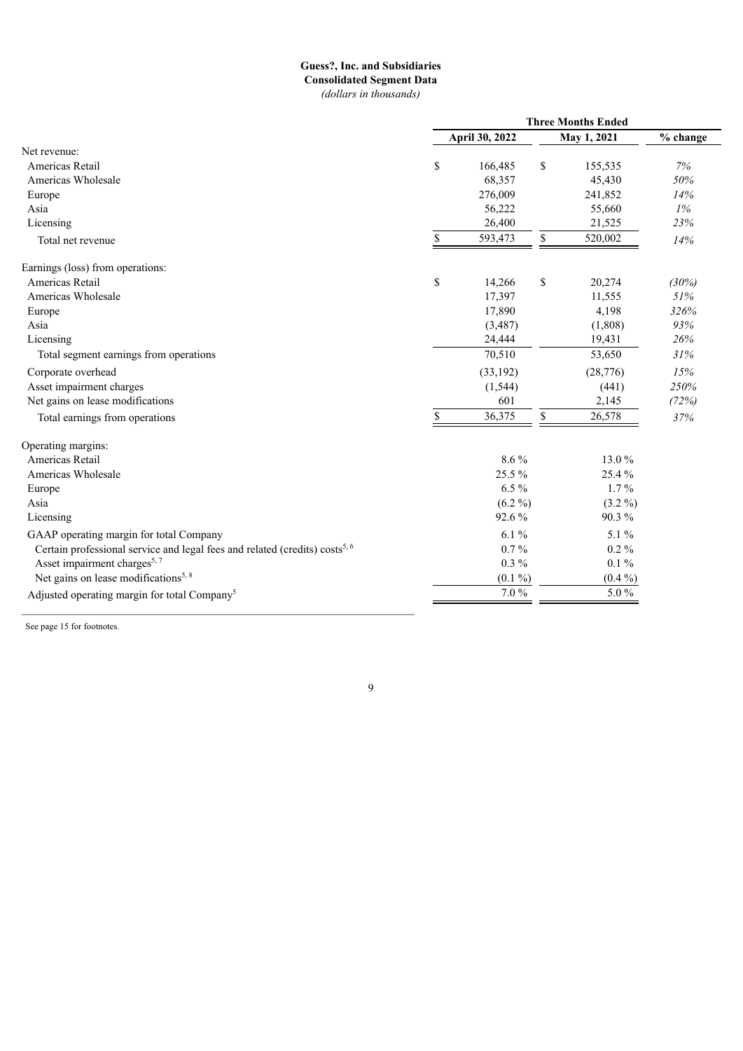### **Guess?, Inc. and Subsidiaries Consolidated Segment Data** *(dollars in thousands)*

|                                                                                         | <b>Three Months Ended</b> |                |             |             |          |
|-----------------------------------------------------------------------------------------|---------------------------|----------------|-------------|-------------|----------|
|                                                                                         |                           | April 30, 2022 |             | May 1, 2021 | % change |
| Net revenue:                                                                            |                           |                |             |             |          |
| Americas Retail                                                                         | \$                        | 166,485        | \$          | 155,535     | 7%       |
| Americas Wholesale                                                                      |                           | 68,357         |             | 45,430      | 50%      |
| Europe                                                                                  |                           | 276,009        |             | 241,852     | 14%      |
| Asia                                                                                    |                           | 56,222         |             | 55,660      | $1\%$    |
| Licensing                                                                               |                           | 26,400         |             | 21,525      | 23%      |
| Total net revenue                                                                       | \$                        | 593,473        | $\mathbb S$ | 520,002     | 14%      |
| Earnings (loss) from operations:                                                        |                           |                |             |             |          |
| Americas Retail                                                                         | $\mathbb S$               | 14,266         | \$          | 20,274      | (30%)    |
| Americas Wholesale                                                                      |                           | 17,397         |             | 11,555      | 51%      |
| Europe                                                                                  |                           | 17,890         |             | 4,198       | 326%     |
| Asia                                                                                    |                           | (3,487)        |             | (1,808)     | 93%      |
| Licensing                                                                               |                           | 24,444         |             | 19,431      | 26%      |
| Total segment earnings from operations                                                  |                           | 70,510         |             | 53,650      | 31%      |
| Corporate overhead                                                                      |                           | (33, 192)      |             | (28, 776)   | 15%      |
| Asset impairment charges                                                                |                           | (1, 544)       |             | (441)       | 250%     |
| Net gains on lease modifications                                                        |                           | 601            |             | 2,145       | (72%)    |
| Total earnings from operations                                                          | \$                        | 36,375         | \$          | 26,578      | 37%      |
| Operating margins:                                                                      |                           |                |             |             |          |
| Americas Retail                                                                         |                           | 8.6%           |             | 13.0%       |          |
| Americas Wholesale                                                                      |                           | 25.5%          |             | 25.4%       |          |
| Europe                                                                                  |                           | $6.5\%$        |             | $1.7\%$     |          |
| Asia                                                                                    |                           | $(6.2\%)$      |             | $(3.2\%)$   |          |
| Licensing                                                                               |                           | 92.6%          |             | 90.3%       |          |
| GAAP operating margin for total Company                                                 |                           | 6.1%           |             | 5.1%        |          |
| Certain professional service and legal fees and related (credits) costs <sup>5, 6</sup> |                           | $0.7\%$        |             | $0.2\%$     |          |
| Asset impairment charges <sup>5, 7</sup>                                                |                           | $0.3\%$        |             | $0.1\%$     |          |
| Net gains on lease modifications <sup>5, 8</sup>                                        |                           | $(0.1\%)$      |             | $(0.4\%)$   |          |
| Adjusted operating margin for total Company <sup>5</sup>                                |                           | 7.0%           |             | 5.0%        |          |
|                                                                                         |                           |                |             |             |          |

See page 15 for footnotes.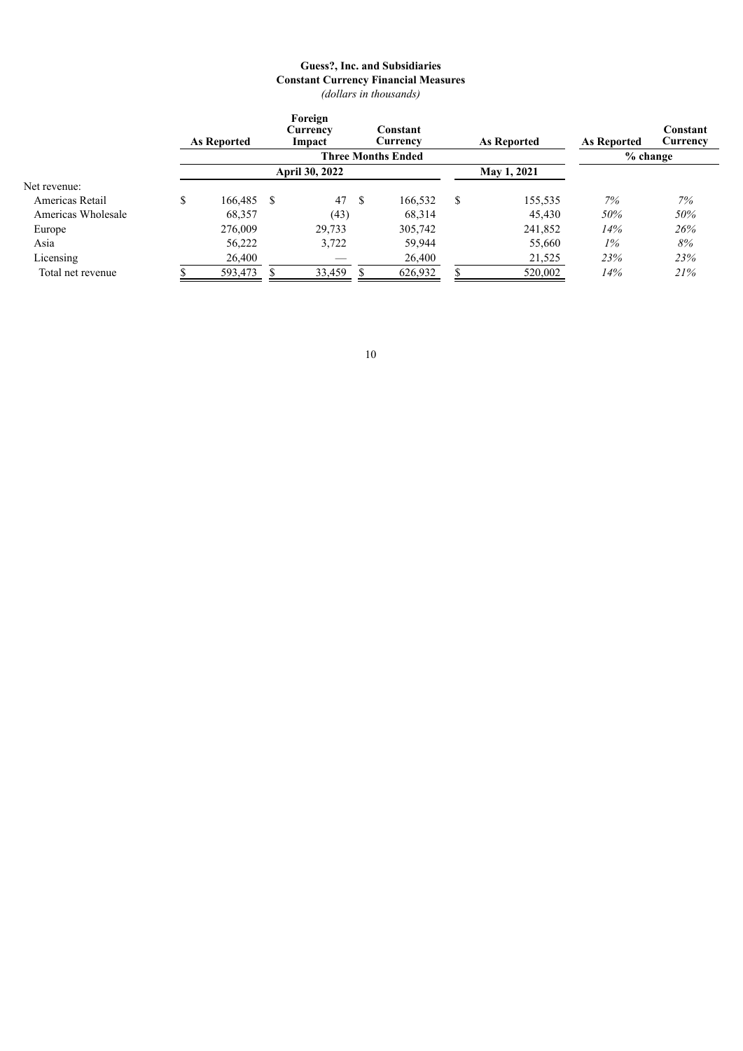### **Guess?, Inc. and Subsidiaries Constant Currency Financial Measures** *(dollars in thousands)*

|                    | As Reported   | Foreign<br>Currency<br>Constant<br>As Reported<br>Currency<br>Impact |                       |    |                           |   | As Reported | Constant<br>Currency |     |
|--------------------|---------------|----------------------------------------------------------------------|-----------------------|----|---------------------------|---|-------------|----------------------|-----|
|                    |               |                                                                      |                       |    | <b>Three Months Ended</b> |   |             | % change             |     |
|                    |               |                                                                      | <b>April 30, 2022</b> |    |                           |   | May 1, 2021 |                      |     |
| Net revenue:       |               |                                                                      |                       |    |                           |   |             |                      |     |
| Americas Retail    | \$<br>166,485 | S                                                                    | 47                    | -S | 166,532                   | S | 155,535     | 7%                   | 7%  |
| Americas Wholesale | 68,357        |                                                                      | (43)                  |    | 68,314                    |   | 45,430      | 50%                  | 50% |
| Europe             | 276,009       |                                                                      | 29,733                |    | 305,742                   |   | 241,852     | 14%                  | 26% |
| Asia               | 56,222        |                                                                      | 3,722                 |    | 59,944                    |   | 55,660      | $1\%$                | 8%  |
| Licensing          | 26,400        |                                                                      |                       |    | 26,400                    |   | 21,525      | 23%                  | 23% |
| Total net revenue  | 593,473       |                                                                      | 33,459                |    | 626,932                   |   | 520,002     | 14%                  | 21% |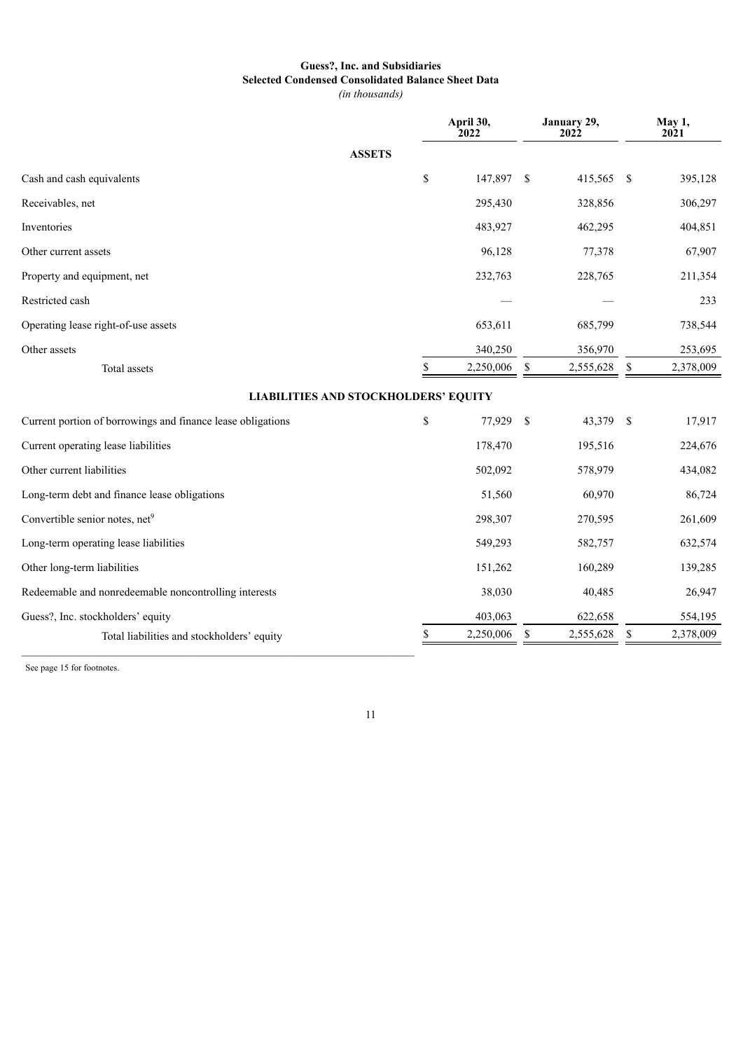# **Guess?, Inc. and Subsidiaries Selected Condensed Consolidated Balance Sheet Data**

*(in thousands)*

|                                                             | April 30,<br>2022 |               | January 29,<br><b>2022</b> |     | May 1,<br>2021 |
|-------------------------------------------------------------|-------------------|---------------|----------------------------|-----|----------------|
| <b>ASSETS</b>                                               |                   |               |                            |     |                |
| Cash and cash equivalents                                   | \$<br>147,897     | <sup>\$</sup> | 415,565                    | -\$ | 395,128        |
| Receivables, net                                            | 295,430           |               | 328,856                    |     | 306,297        |
| Inventories                                                 | 483,927           |               | 462,295                    |     | 404,851        |
| Other current assets                                        | 96,128            |               | 77,378                     |     | 67,907         |
| Property and equipment, net                                 | 232,763           |               | 228,765                    |     | 211,354        |
| Restricted cash                                             |                   |               |                            |     | 233            |
| Operating lease right-of-use assets                         | 653,611           |               | 685,799                    |     | 738,544        |
| Other assets                                                | 340,250           |               | 356,970                    |     | 253,695        |
| Total assets                                                | \$<br>2,250,006   | \$            | 2,555,628                  | \$  | 2,378,009      |
| <b>LIABILITIES AND STOCKHOLDERS' EQUITY</b>                 |                   |               |                            |     |                |
| Current portion of borrowings and finance lease obligations | \$<br>77,929      | \$            | 43,379                     | -\$ | 17,917         |
| Current operating lease liabilities                         | 178,470           |               | 195,516                    |     | 224,676        |
| Other current liabilities                                   | 502,092           |               | 578,979                    |     | 434,082        |
| Long-term debt and finance lease obligations                | 51,560            |               | 60,970                     |     | 86,724         |
| Convertible senior notes, net <sup>9</sup>                  | 298,307           |               | 270,595                    |     | 261,609        |
| Long-term operating lease liabilities                       | 549,293           |               | 582,757                    |     | 632,574        |
| Other long-term liabilities                                 | 151,262           |               | 160,289                    |     | 139,285        |
| Redeemable and nonredeemable noncontrolling interests       | 38,030            |               | 40,485                     |     | 26,947         |
| Guess?, Inc. stockholders' equity                           | 403,063           |               | 622,658                    |     | 554,195        |
| Total liabilities and stockholders' equity                  | \$<br>2,250,006   | \$            | 2,555,628                  | \$  | 2,378,009      |

See page 15 for footnotes.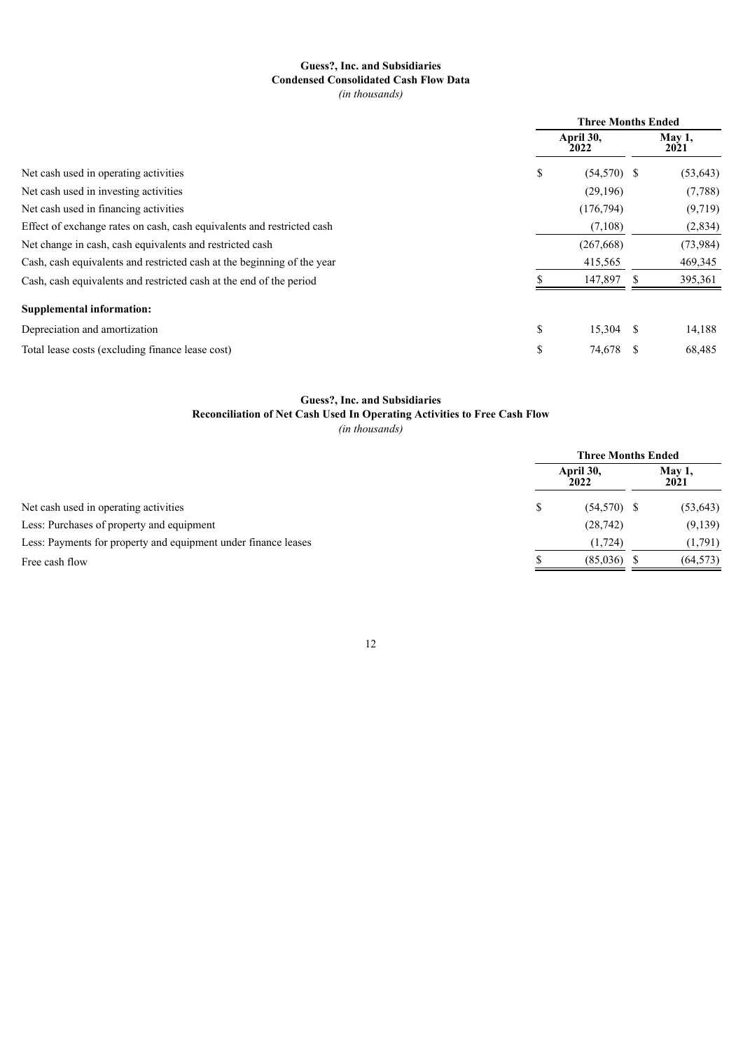# **Guess?, Inc. and Subsidiaries Condensed Consolidated Cash Flow Data**

*(in thousands)*

|                                                                         | <b>Three Months Ended</b> |                   |     |                |  |
|-------------------------------------------------------------------------|---------------------------|-------------------|-----|----------------|--|
|                                                                         |                           | April 30,<br>2022 |     | May 1,<br>2021 |  |
| Net cash used in operating activities                                   | \$                        | $(54,570)$ \$     |     | (53, 643)      |  |
| Net cash used in investing activities                                   |                           | (29,196)          |     | (7,788)        |  |
| Net cash used in financing activities                                   |                           | (176, 794)        |     | (9,719)        |  |
| Effect of exchange rates on cash, cash equivalents and restricted cash  |                           | (7,108)           |     | (2,834)        |  |
| Net change in cash, cash equivalents and restricted cash                |                           | (267, 668)        |     | (73, 984)      |  |
| Cash, cash equivalents and restricted cash at the beginning of the year |                           | 415,565           |     | 469,345        |  |
| Cash, cash equivalents and restricted cash at the end of the period     |                           | 147,897           | ъ   | 395,361        |  |
| <b>Supplemental information:</b>                                        |                           |                   |     |                |  |
| Depreciation and amortization                                           | \$                        | 15,304            | -S  | 14,188         |  |
| Total lease costs (excluding finance lease cost)                        | \$                        | 74,678            | \$. | 68,485         |  |

### **Guess?, Inc. and Subsidiaries**

**Reconciliation of Net Cash Used In Operating Activities to Free Cash Flow**

*(in thousands)*

|                                                                |                   | <b>Three Months Ended</b> |  |                |  |  |
|----------------------------------------------------------------|-------------------|---------------------------|--|----------------|--|--|
|                                                                | April 30,<br>2022 |                           |  | May 1,<br>2021 |  |  |
| Net cash used in operating activities                          |                   | $(54,570)$ \$             |  | (53, 643)      |  |  |
| Less: Purchases of property and equipment                      |                   | (28, 742)                 |  | (9,139)        |  |  |
| Less: Payments for property and equipment under finance leases |                   | (1, 724)                  |  | (1,791)        |  |  |
| Free cash flow                                                 |                   | (85,036)                  |  | (64, 573)      |  |  |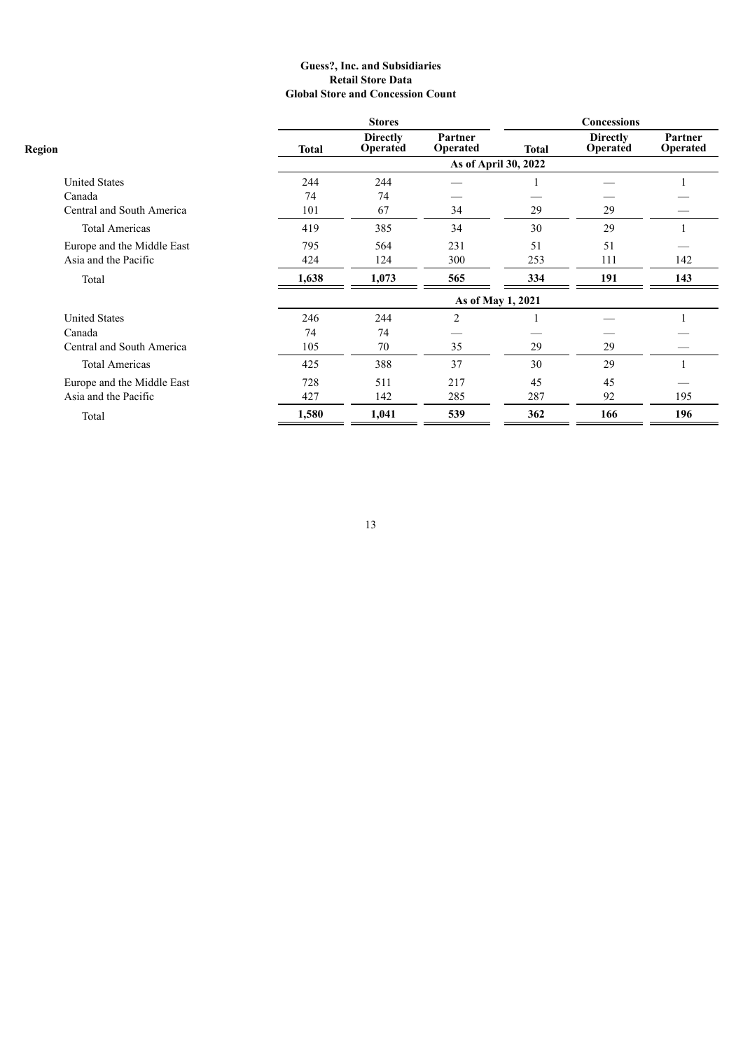#### **Guess?, Inc. and Subsidiaries Retail Store Data Global Store and Concession Count**

|                            |              | <b>Stores</b>                      |                      |              | Concessions                 |                     |
|----------------------------|--------------|------------------------------------|----------------------|--------------|-----------------------------|---------------------|
| <b>Region</b>              | <b>Total</b> | <b>Directly</b><br><b>Operated</b> | Partner<br>Operated  | <b>Total</b> | <b>Directly</b><br>Operated | Partner<br>Operated |
|                            |              |                                    | As of April 30, 2022 |              |                             |                     |
| <b>United States</b>       | 244          | 244                                |                      |              |                             |                     |
| Canada                     | 74           | 74                                 |                      |              |                             |                     |
| Central and South America  | 101          | 67                                 | 34                   | 29           | 29                          |                     |
| <b>Total Americas</b>      | 419          | 385                                | 34                   | 30           | 29                          |                     |
| Europe and the Middle East | 795          | 564                                | 231                  | 51           | 51                          |                     |
| Asia and the Pacific       | 424          | 124                                | 300                  | 253          | 111                         | 142                 |
| Total                      | 1,638        | 1,073                              | 565                  | 334          | 191                         | 143                 |
|                            |              |                                    | As of May 1, 2021    |              |                             |                     |
| <b>United States</b>       | 246          | 244                                | $\overline{2}$       |              |                             |                     |
| Canada                     | 74           | 74                                 |                      |              |                             |                     |
| Central and South America  | 105          | 70                                 | 35                   | 29           | 29                          |                     |
| <b>Total Americas</b>      | 425          | 388                                | 37                   | 30           | 29                          |                     |
| Europe and the Middle East | 728          | 511                                | 217                  | 45           | 45                          |                     |
| Asia and the Pacific       | 427          | 142                                | 285                  | 287          | 92                          | 195                 |
| Total                      | 1,580        | 1,041                              | 539                  | 362          | 166                         | 196                 |
|                            |              |                                    |                      |              |                             |                     |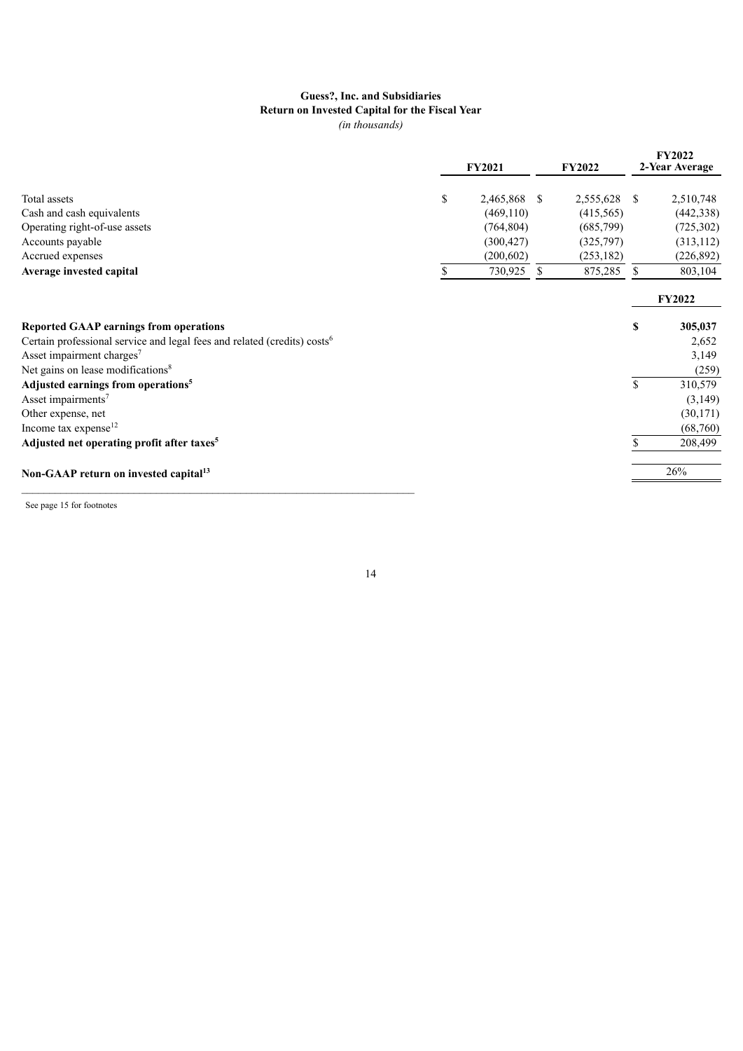#### **Guess?, Inc. and Subsidiaries Return on Invested Capital for the Fiscal Year** *(in thousands)*

|                                                                                      |    | <b>FY2021</b> |    | <b>FY2022</b> |               | <b>FY2022</b><br>2-Year Average |
|--------------------------------------------------------------------------------------|----|---------------|----|---------------|---------------|---------------------------------|
| Total assets                                                                         | \$ | 2,465,868 \$  |    | 2,555,628     | <sup>\$</sup> | 2,510,748                       |
| Cash and cash equivalents                                                            |    | (469, 110)    |    | (415,565)     |               | (442, 338)                      |
| Operating right-of-use assets                                                        |    | (764, 804)    |    | (685,799)     |               | (725, 302)                      |
| Accounts payable                                                                     |    | (300, 427)    |    | (325,797)     |               | (313, 112)                      |
| Accrued expenses                                                                     |    | (200, 602)    |    | (253, 182)    |               | (226, 892)                      |
| Average invested capital                                                             | S  | 730,925       | S. | 875,285       | <sup>\$</sup> | 803,104                         |
|                                                                                      |    |               |    |               |               | FY2022                          |
| <b>Reported GAAP earnings from operations</b>                                        |    |               |    |               | \$            | 305,037                         |
| Certain professional service and legal fees and related (credits) costs <sup>6</sup> |    |               |    |               |               | 2,652                           |
| Asset impairment charges <sup>7</sup>                                                |    |               |    |               |               | 3,149                           |
| Net gains on lease modifications <sup>8</sup>                                        |    |               |    |               |               | (259)                           |
| Adjusted earnings from operations <sup>5</sup>                                       |    |               |    |               | \$            | 310,579                         |
| Asset impairments <sup>7</sup>                                                       |    |               |    |               |               | (3, 149)                        |
| Other expense, net                                                                   |    |               |    |               |               | (30, 171)                       |
| Income tax expense <sup>12</sup>                                                     |    |               |    |               |               | (68,760)                        |
| Adjusted net operating profit after taxes <sup>5</sup>                               |    |               |    |               |               | 208,499                         |
| Non-GAAP return on invested capital <sup>13</sup>                                    |    |               |    |               |               | 26%                             |
|                                                                                      |    |               |    |               |               |                                 |

See page 15 for footnotes